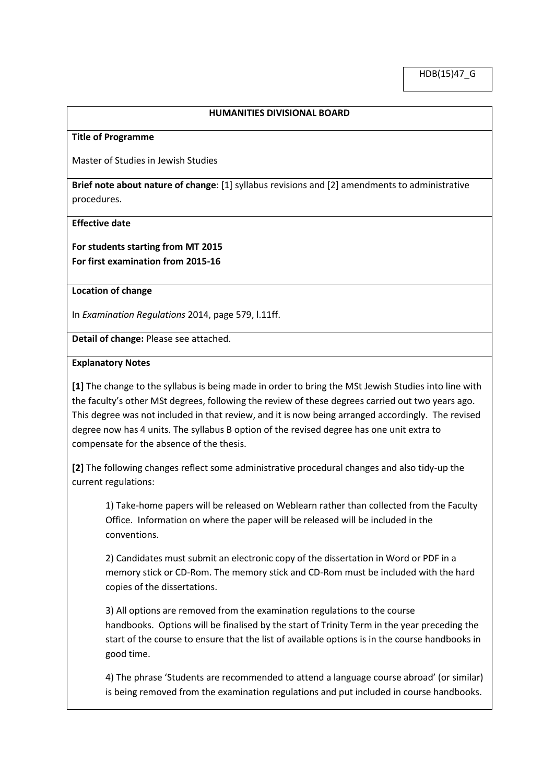## **HUMANITIES DIVISIONAL BOARD**

#### **Title of Programme**

Master of Studies in Jewish Studies

**Brief note about nature of change**: [1] syllabus revisions and [2] amendments to administrative procedures.

#### **Effective date**

**For students starting from MT 2015 For first examination from 2015-16** 

### **Location of change**

In *Examination Regulations* 2014, page 579, l.11ff.

**Detail of change:** Please see attached.

### **Explanatory Notes**

**[1]** The change to the syllabus is being made in order to bring the MSt Jewish Studies into line with the faculty's other MSt degrees, following the review of these degrees carried out two years ago. This degree was not included in that review, and it is now being arranged accordingly. The revised degree now has 4 units. The syllabus B option of the revised degree has one unit extra to compensate for the absence of the thesis.

**[2]** The following changes reflect some administrative procedural changes and also tidy-up the current regulations:

1) Take-home papers will be released on Weblearn rather than collected from the Faculty Office. Information on where the paper will be released will be included in the conventions.

2) Candidates must submit an electronic copy of the dissertation in Word or PDF in a memory stick or CD-Rom. The memory stick and CD-Rom must be included with the hard copies of the dissertations.

3) All options are removed from the examination regulations to the course handbooks. Options will be finalised by the start of Trinity Term in the year preceding the start of the course to ensure that the list of available options is in the course handbooks in good time.

4) The phrase 'Students are recommended to attend a language course abroad' (or similar) is being removed from the examination regulations and put included in course handbooks.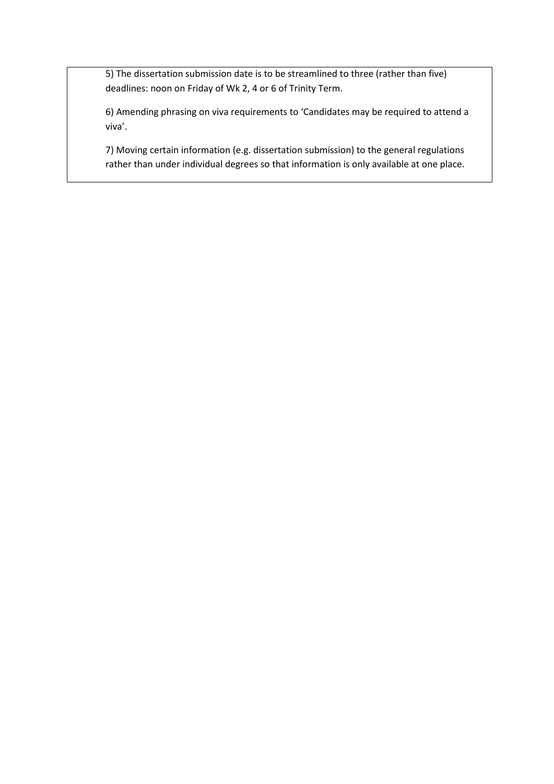5) The dissertation submission date is to be streamlined to three (rather than five) deadlines: noon on Friday of Wk 2, 4 or 6 of Trinity Term.

6) Amending phrasing on viva requirements to 'Candidates may be required to attend a viva'.

7) Moving certain information (e.g. dissertation submission) to the general regulations rather than under individual degrees so that information is only available at one place.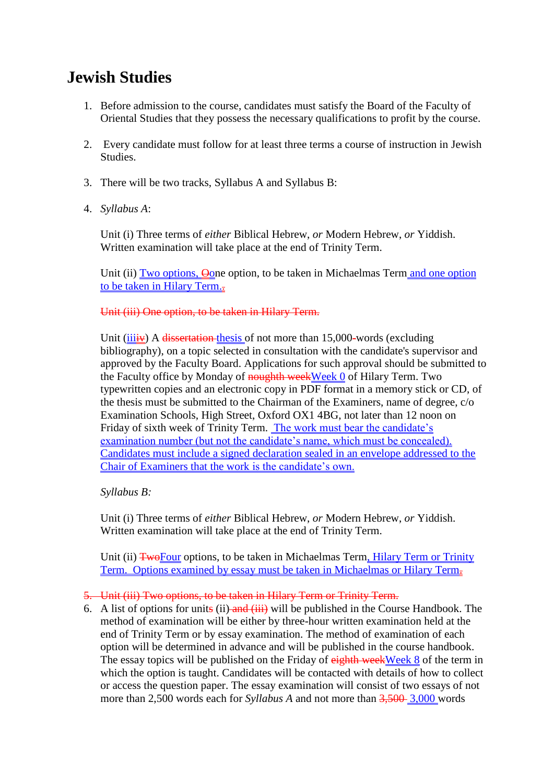# **Jewish Studies**

- 1. Before admission to the course, candidates must satisfy the Board of the Faculty of Oriental Studies that they possess the necessary qualifications to profit by the course.
- 2. Every candidate must follow for at least three terms a course of instruction in Jewish Studies.
- 3. There will be two tracks, Syllabus A and Syllabus B:
- 4. *Syllabus A*:

Unit (i) Three terms of *either* Biblical Hebrew, *or* Modern Hebrew, *or* Yiddish. Written examination will take place at the end of Trinity Term.

Unit (ii) Two options, Oone option, to be taken in Michaelmas Term and one option to be taken in Hilary Term.

# Unit (iii) One option, to be taken in Hilary Term.

Unit (*iiiiv*) A dissertation thesis of not more than 15,000-words (excluding bibliography), on a topic selected in consultation with the candidate's supervisor and approved by the Faculty Board. Applications for such approval should be submitted to the Faculty office by Monday of noughth weekWeek 0 of Hilary Term. Two typewritten copies and an electronic copy in PDF format in a memory stick or CD, of the thesis must be submitted to the Chairman of the Examiners, name of degree, c/o Examination Schools, High Street, Oxford OX1 4BG, not later than 12 noon on Friday of sixth week of Trinity Term. The work must bear the candidate's examination number (but not the candidate's name, which must be concealed). Candidates must include a signed declaration sealed in an envelope addressed to the Chair of Examiners that the work is the candidate's own.

# *Syllabus B:*

Unit (i) Three terms of *either* Biblical Hebrew, *or* Modern Hebrew, *or* Yiddish. Written examination will take place at the end of Trinity Term.

Unit (ii) TwoFour options, to be taken in Michaelmas Term, Hilary Term or Trinity Term. Options examined by essay must be taken in Michaelmas or Hilary Term.

# 5. Unit (iii) Two options, to be taken in Hilary Term or Trinity Term.

6. A list of options for units (ii) and  $(iii)$  will be published in the Course Handbook. The method of examination will be either by three-hour written examination held at the end of Trinity Term or by essay examination. The method of examination of each option will be determined in advance and will be published in the course handbook. The essay topics will be published on the Friday of eighth weekWeek 8 of the term in which the option is taught. Candidates will be contacted with details of how to collect or access the question paper. The essay examination will consist of two essays of not more than 2,500 words each for *Syllabus A* and not more than 3,500–3,000 words